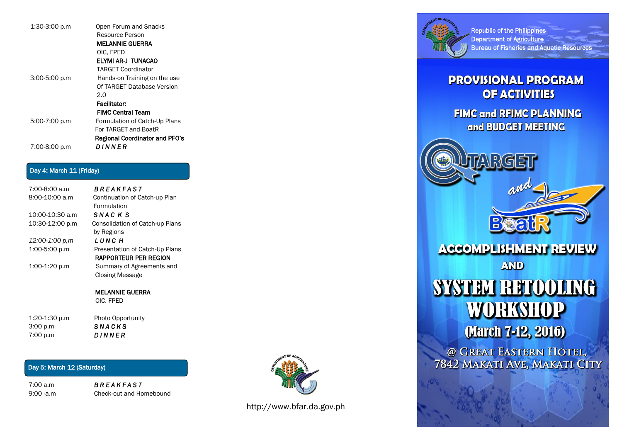| 1:30-3:00 p.m   | Open Forum and Snacks                 |
|-----------------|---------------------------------------|
|                 | Resource Person                       |
|                 | <b>MELANNIE GUERRA</b>                |
|                 | OIC. FPED                             |
|                 | ELYMI AR-J TUNACAO                    |
|                 | <b>TARGET Coordinator</b>             |
| $3:00-5:00 p.m$ | Hands-on Training on the use          |
|                 | Of TARGFT Database Version            |
|                 | 2.0                                   |
|                 | Facilitator:                          |
|                 | <b>FIMC Central Team</b>              |
| 5:00-7:00 p.m   | Formulation of Catch-Up Plans         |
|                 | For TARGET and BoatR                  |
|                 | <b>Regional Coordinator and PFO's</b> |
| 7:00-8:00 p.m   | DINNER                                |

### Day 4: March 11 (Friday)

7:00-8:00 a.m *B R E A K F A S T*  8:00-10:00 a.m Continuation of Catch-up Plan Formulation 10:00-10:30 a.m *S N A C K S* 10:30-12:00 p.m Consolidation of Catch-up Plans by Regions *12:00-1:00 p,m L U N C H*  1:00-5:00 p.m Presentation of Catch-Up Plans RAPPORTEUR PER REGION 1:00-1:20 p.m Summary of Agreements and Closing Message

> MELANNIE GUERRA OIC. FPED

1:20-1:30 p.m Photo Opportunity 3:00 p.m *S N A C K S*  7:00 p.m *D I N N E R* 

## Day 5: March 12 (Saturday)

7:00 a.m *B R E A K F A S T*  9:00 -a.m Check-out and Homebound



http://www.bfar.da.gov.ph



Republic of the Philippines Department of Agriculture **Bureau of Fisheries and Aquatic Resources** 

## **PROVISIONAL PROGRAM OF ACTIVITIES**

**FIMC and RFIMC PLANNING** and BUDGET MEETING

**ACCOMPLISHMENT REVIEW** 

**AND** 

# SYSTEM RETOOLING **WORKSHOP**

**March 7-12, 2016)** 

@ GREAT EASTERN HOTEL, 7842 MAKATI AVE, MAKATI CITY